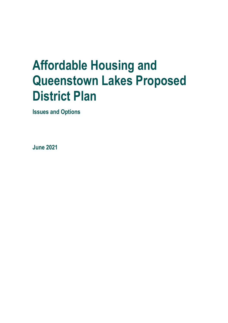# **Affordable Housing and Queenstown Lakes Proposed District Plan**

**Issues and Options** 

**June 2021**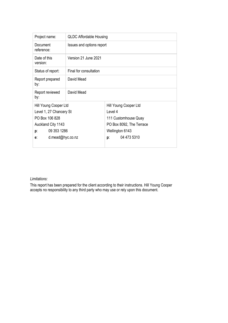| Project name:            | <b>QLDC Affordable Housing</b> |                          |  |
|--------------------------|--------------------------------|--------------------------|--|
| Document<br>reference:   | Issues and options report      |                          |  |
| Date of this<br>version: | Version 21 June 2021           |                          |  |
| Status of report:        | Final for consultation         |                          |  |
| Report prepared<br>by:   | David Mead                     |                          |  |
| Report reviewed<br>by:   | David Mead                     |                          |  |
| Hill Young Cooper Ltd    |                                | Hill Young Cooper Ltd    |  |
| Level 1, 27 Chancery St  |                                | Level 4                  |  |
| PO Box 106 828           |                                | 111 Customhouse Quay     |  |
| Auckland City 1143       |                                | PO Box 8092, The Terrace |  |
| 09 353 1286<br>p:        |                                | Wellington 6143          |  |
| d.mead@hyc.co.nz<br>e:   |                                | 04 473 5310<br>p:        |  |
|                          |                                |                          |  |

#### *Limitations:*

This report has been prepared for the client according to their instructions. Hill Young Cooper accepts no responsibility to any third party who may use or rely upon this document.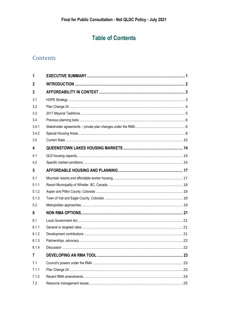### **Table of Contents**

### Contents

| 1            |  |
|--------------|--|
| $\mathbf{2}$ |  |
| 3            |  |
| 3.1          |  |
| 3.2          |  |
| 3.3          |  |
| 3.4          |  |
| 3.4.1        |  |
| 3.4.2        |  |
| 3.5          |  |
| 4            |  |
| 4.1          |  |
| 4.2          |  |
| 5            |  |
| 5.1          |  |
| 5.1.1        |  |
| 5.1.2        |  |
| 5.1.3        |  |
| 5.2          |  |
| 6            |  |
| 6.1          |  |
| 6.1.1        |  |
| 6.1.2        |  |
| 6.1.3        |  |
| 6.1.4        |  |
| 7            |  |
| 7.1          |  |
| 7.1.1        |  |
| 7.1.2        |  |
| 7.2          |  |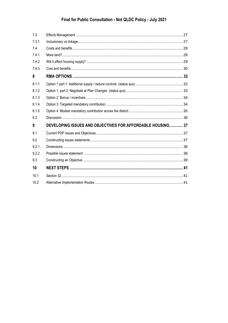| 7.3   |                                                            |  |
|-------|------------------------------------------------------------|--|
| 7.3.1 |                                                            |  |
| 7.4   |                                                            |  |
| 7.4.1 |                                                            |  |
| 7.4.2 |                                                            |  |
| 7.4.3 |                                                            |  |
| 8     |                                                            |  |
| 8.1.1 |                                                            |  |
| 8.1.2 |                                                            |  |
| 8.1.3 |                                                            |  |
| 8.1.4 |                                                            |  |
| 8.1.5 |                                                            |  |
| 8.2   |                                                            |  |
| 9     | DEVELOPING ISSUES AND OBJECTIVES FOR AFFORDABLE HOUSING 37 |  |
| 9.1   |                                                            |  |
| 9.2   |                                                            |  |
| 9.2.1 |                                                            |  |
| 9.2.2 |                                                            |  |
| 9.3   |                                                            |  |
| 10    |                                                            |  |
| 10.1  |                                                            |  |
| 10.2  |                                                            |  |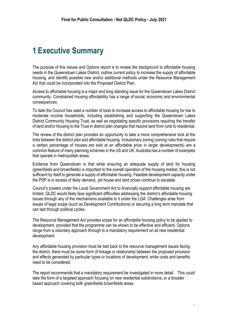### <span id="page-4-0"></span>**1 Executive Summary**

The purpose of this Issues and Options report is to review the background to affordable housing needs in the Queenstown Lakes District, outline current policy to increase the supply of affordable housing, and identify possible new and/or additional methods under the Resource Management Act that could be incorporated into the Proposed District Plan.

Access to affordable housing is a major and long standing issue for the Queenstown Lakes District community. Constrained housing affordability has a range of social, economic and environmental consequences.

To date the Council has used a number of tools to increase access to affordable housing for low to moderate income households, including establishing and supporting the Queenstown Lakes District Community Housing Trust, as well as negotiating specific provisions requiring the transfer of land and/or housing to the Trust in district plan changes that rezone land from rural to residential.

The review of the district plan provides an opportunity to take a more comprehensive look at the links between the district plan and affordable housing. Inclusionary zoning (zoning rules that require a certain percentage of houses are sold at an affordable price in larger developments) are a common feature of many planning schemes in the US and UK. Australia has a number of examples that operate in metropolitan areas.

Evidence from Queenstown is that while ensuring an adequate supply of land for housing (greenfields and brownfields) is important to the overall operation of the housing market, this is not sufficient by itself to generate a supply of affordable housing. Feasible development capacity under the PDP is in excess of likely demand, yet house and land prices continue to escalate.

Council's powers under the Local Government Act to financially support affordable housing are limited. QLDC would likely face significant difficulties addressing the district's affordable housing issues through any of the mechanisms available to it under the LGA. Challenges arise from issues of legal scope (such as Development Contributions) or securing a long term mandate that can last through political cycles.

The Resource Management Act provides scope for an affordable housing policy to be applied to development, provided that the programme can be shown to be effective and efficient. Options range from a voluntary approach through to a mandatory requirement on all new residential development.

Any affordable housing provision must be tied back to the resource management issues facing the district, there must be some form of linkage or relationship between the proposed provision and effects generated by particular types or locations of development, while costs and benefits need to be considered.

The report recommends that a mandatory requirement be investigated in more detail. This could take the form of a targeted approach focusing on new residential subdivisions, or a broader based approach covering both greenfields brownfields areas.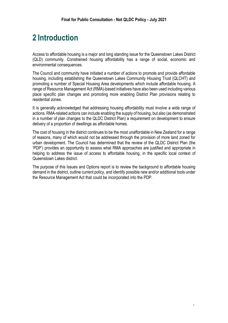# <span id="page-5-0"></span>**2 Introduction**

Access to affordable housing is a major and long standing issue for the Queenstown Lakes District (QLD) community. Constrained housing affordability has a range of social, economic and environmental consequences.

The Council and community have initiated a number of actions to promote and provide affordable housing, including establishing the Queenstown Lakes Community Housing Trust (QLCHT) and promoting a number of Special Housing Area developments which include affordable housing. A range of Resource Management Act (RMA)-based initiatives have also been used including various place specific plan changes and promoting more enabling District Plan provisions relating to residential zones.

It is generally acknowledged that addressing housing affordability must involve a wide range of actions. RMA-related actions can include enabling the supply of housing, but also (as demonstrated in a number of plan changes to the QLDC District Plan) a requirement on development to ensure delivery of a proportion of dwellings as affordable homes.

The cost of housing in the district continues to be the most unaffordable in New Zealand for a range of reasons, many of which would not be addressed through the provision of more land zoned for urban development. The Council has determined that the review of the QLDC District Plan (the 'PDP') provides an opportunity to assess what RMA approaches are justified and appropriate in helping to address the issue of access to affordable housing, in the specific local context of Queenstown Lakes district.

The purpose of this Issues and Options report is to review the background to affordable housing demand in the district, outline current policy, and identify possible new and/or additional tools under the Resource Management Act that could be incorporated into the PDP.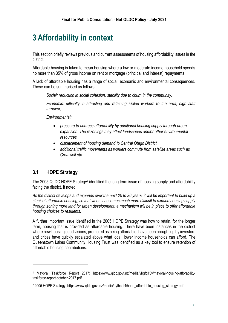## <span id="page-6-0"></span>**3 Affordability in context**

This section briefly reviews previous and current assessments of housing affordability issues in the district.

Affordable housing is taken to mean housing where a low or moderate income household spends no more than 35% of gross income on rent or mortgage (principal and interest) repayments<sup>1</sup>.

A lack of affordable housing has a range of social, economic and environmental consequences. These can be summarised as follows:

*Social: reduction in social cohesion, stability due to churn in the community;*

*Economic: difficulty in attracting and retaining skilled workers to the area, high staff turnover;*

*Environmental:* 

- *pressure to address affordability by additional housing supply through urban expansion. The rezonings may affect landscapes and/or other environmental resources,*
- *displacement of housing demand to Central Otago District,*
- *additional traffic movements as workers commute from satellite areas such as Cromwell etc.*

#### <span id="page-6-1"></span>**3.1 HOPE Strategy**

The 2005 QLDC HOPE Strategy<sup>2</sup> identified the long term issue of housing supply and affordability facing the district. It noted:

*As the district develops and expands over the next 20 to 30 years, it will be important to build up a stock of affordable housing, so that when it becomes much more difficult to expand housing supply through zoning more land for urban development, a mechanism will be in place to offer affordable housing choices to residents.* 

A further important issue identified in the 2005 HOPE Strategy was how to retain, for the longer term, housing that is provided as affordable housing. There have been instances in the district where new housing subdivisions, promoted as being affordable, have been brought up by investors and prices have quickly escalated above what local, lower income households can afford. The Queenstown Lakes Community Housing Trust was identified as a key tool to ensure retention of affordable housing contributions.

<sup>1</sup> Mayoral Taskforce Report 2017: https://www.qldc.govt.nz/media/ybgfq15v/mayoral-housing-afforabilitytaskforce-report-october-2017.pdf

<sup>2</sup> 2005 HOPE Strategy: https://www.qldc.govt.nz/media/ayfhcet4/hope\_affordable\_housing\_strategy.pdf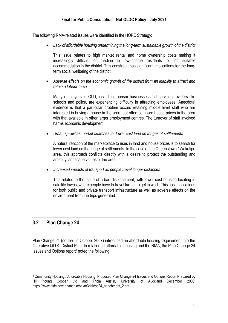The following RMA-related issues were identified in the HOPE Strategy:

• *Lack of affordable housing undermining the long-term sustainable growth of the district*

This issue relates to high market rental and home ownership costs making it increasingly difficult for median to low-income residents to find suitable accommodation in the district. This constraint has significant implications for the longterm social wellbeing of the district.

• *Adverse effects on the economic growth of the district from an inability to attract and retain a labour force.*

Many employers in QLD, including tourism businesses and service providers like schools and police, are experiencing difficulty in attracting employees. Anecdotal evidence is that a particular problem occurs retaining middle level staff who are interested in buying a house in the area, but often compare house prices in the area with that available in other larger employment centres. The turnover of staff involved harms economic development.

• *Urban sprawl as market searches for lower cost land on fringes of settlements* 

A natural reaction of the marketplace to rises in land and house prices is to search for lower cost land on the fringe of settlements. In the case of the Queenstown / Wakatipu area, this approach conflicts directly with a desire to protect the outstanding and amenity landscape values of the area.

• *Increased impacts of transport as people travel longer distances*

This relates to the issue of urban displacement, with lower cost housing locating in satellite towns, where people have to travel further to get to work. This has implications for both public and private transport infrastructure as well as adverse effects on the environment from the trips generated.

#### <span id="page-7-0"></span>**3.2 Plan Change 24**

Plan Change 24 (notified in October 2007) introduced an affordable housing requirement into the Operative QLDC District Plan. In relation to affordable housing and the RMA, the Plan Change 24 Issues and Options report<sup>3</sup> noted the following:

<sup>&</sup>lt;sup>3</sup> Community Housing / Affordable Housing: Proposed Plan Change 24 Issues and Options Report Prepared by<br>Hill Young Cooper Ltd and Tricia Austin, University of Auckland December 2006: Hill Young Cooper Ltd and Tricia Austin, University of Auckland December 2006: https://www.qldc.govt.nz/media/bexm3dzk/pc24\_attachment\_2.pdf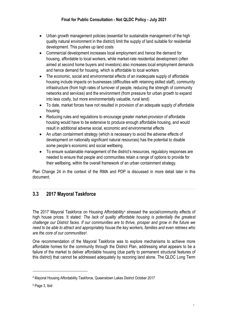- Urban growth management policies (essential for sustainable management of the high quality natural environment in the district) limit the supply of land suitable for residential development. This pushes up land costs
- Commercial development increases local employment and hence the demand for housing, affordable to local workers, while market-rate residential development (often aimed at second home buyers and investors) also increases local employment demands and hence demand for housing, which is affordable to local workers
- The economic, social and environmental effects of an inadequate supply of affordable housing include impacts on businesses (difficulties with retaining skilled staff), community infrastructure (from high rates of turnover of people, reducing the strength of community networks and services) and the environment (from pressure for urban growth to expand into less costly, but more environmentally valuable, rural land)
- To date, market forces have not resulted in provision of an adequate supply of affordable housing
- Reducing rules and regulations to encourage greater market-provision of affordable housing would have to be extensive to produce enough affordable housing, and would result in additional adverse social, economic and environmental effects
- An urban containment strategy (which is necessary to avoid the adverse effects of development on nationally significant natural resources) has the potential to disable some people's economic and social wellbeing
- To ensure sustainable management of the district's resources, regulatory responses are needed to ensure that people and communities retain a range of options to provide for their wellbeing, within the overall framework of an urban containment strategy.

Plan Change 24 in the context of the RMA and PDP is discussed in more detail later in this document.

#### <span id="page-8-0"></span>**3.3 2017 Mayoral Taskforce**

The 2017 Mayoral Taskforce on Housing Affordability<sup>4</sup> stressed the social/community effects of high house prices. It stated: *The lack of quality affordable housing is potentially the greatest challenge our District faces. If our communities are to thrive, prosper and grow in the future we need to be able to attract and appropriately house the key workers, families and even retirees who are the core of our communities<sup>5</sup> .*

One recommendation of the Mayoral Taskforce was to explore mechanisms to achieve more affordable homes for the community through the District Plan, addressing what appears to be a failure of the market to deliver affordable housing (due partly to permanent structural features of this district) that cannot be addressed adequately by rezoning land alone. The QLDC Long Term

<sup>4</sup> Mayoral Housing Affordability Taskforce, Queenstown Lakes District October 2017

<sup>5</sup> Page 3, Ibid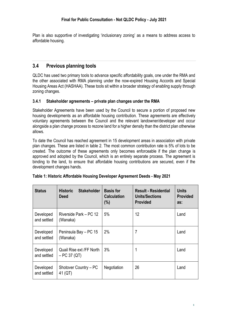Plan is also supportive of investigating 'inclusionary zoning' as a means to address access to affordable housing.

#### <span id="page-9-0"></span>**3.4 Previous planning tools**

QLDC has used two primary tools to advance specific affordability goals, one under the RMA and the other associated with RMA planning under the now-expired Housing Accords and Special Housing Areas Act (HASHAA). These tools sit within a broader strategy of enabling supply through zoning changes.

#### <span id="page-9-1"></span>**3.4.1 Stakeholder agreements – private plan changes under the RMA**

Stakeholder Agreements have been used by the Council to secure a portion of proposed new housing developments as an affordable housing contribution. These agreements are effectively voluntary agreements between the Council and the relevant landowner/developer and occur alongside a plan change process to rezone land for a higher density than the district plan otherwise allows.

To date the Council has reached agreement in 15 development areas in association with private plan changes. These are listed in table 2. The most common contribution rate is 5% of lots to be created. The outcome of these agreements only becomes enforceable if the plan change is approved and adopted by the Council, which is an entirely separate process. The agreement is binding to the land, to ensure that affordable housing contributions are secured, even if the development changes hands.

| <b>Status</b>            | <b>Historic</b><br><b>Stakeholder</b><br><b>Deed</b> | <b>Basis for</b><br><b>Calculation</b><br>(%) | <b>Result - Residential</b><br><b>Units/Sections</b><br><b>Provided</b> | <b>Units</b><br><b>Provided</b><br>as: |
|--------------------------|------------------------------------------------------|-----------------------------------------------|-------------------------------------------------------------------------|----------------------------------------|
| Developed<br>and settled | Riverside Park – PC 12<br>(Wanaka)                   | 5%                                            | 12                                                                      | Land                                   |
| Developed<br>and settled | Peninsula Bay - PC 15<br>(Wanaka)                    | 2%                                            | 7                                                                       | Land                                   |
| Developed<br>and settled | Quail Rise ext /FF North<br>$- PC 37 (QT)$           | 3%                                            | 1                                                                       | Land                                   |
| Developed<br>and settled | Shotover Country - PC<br>41 (QT)                     | Negotiation                                   | 26                                                                      | Land                                   |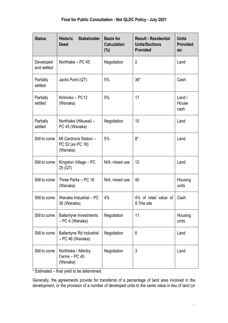| <b>Status</b>            | <b>Historic</b><br><b>Stakeholder</b><br><b>Deed</b>  | <b>Basis for</b><br><b>Calculation</b><br>$(\% )$ | <b>Result - Residential</b><br><b>Units/Sections</b><br><b>Provided</b> | <b>Units</b><br><b>Provided</b><br>as: |
|--------------------------|-------------------------------------------------------|---------------------------------------------------|-------------------------------------------------------------------------|----------------------------------------|
| Developed<br>and settled | Northlake - PC 45                                     | Negotiation                                       | $\overline{2}$                                                          | Land                                   |
| Partially<br>settled     | Jacks Point (QT)                                      | 5%                                                | $36*$                                                                   | Cash                                   |
| Partially<br>settled     | Kirimoko - PC13<br>(Wanaka)                           | 5%                                                | 17                                                                      | Land /<br>House<br>cash                |
| Partially<br>settled     | Northlake (Hikuwai) -<br>PC 45 (Wanaka)               | Negotiation                                       | 10                                                                      | Land                                   |
| Still to come            | Mt Cardrona Station -<br>PC 52 (ex PC 18)<br>(Wanaka) | 5%                                                | $8*$                                                                    | Land                                   |
| Still to come            | Kingston Village - PC<br>25 (QT)                      | N/A; mixed use                                    | 12                                                                      | Land                                   |
| Still to come            | Three Parks - PC 16<br>(Wanaka)                       | N/A; mixed use                                    | 40                                                                      | Housing<br>units                       |
| Still to come            | Wanaka Industrial - PC<br>36 (Wanaka)                 | 4%                                                | 4% of retail value of<br>9.7Ha site                                     | Cash                                   |
| Still to come            | <b>Ballantyne Investments</b><br>- PC 4 (Wanaka)      | Negotiation                                       | 11                                                                      | Housing<br>units                       |
| Still to come            | <b>Ballantyne Rd Industrial</b><br>- PC 46 (Wanaka)   | Negotiation                                       | 6                                                                       | Land                                   |
| Still to come            | Northlake / Allenby<br>Farms - PC 45<br>(Wanaka)      | Negotiation                                       | 3                                                                       | Land                                   |

\* Estimated – final yield to be determined

Generally, the agreements provide for transferral of a percentage of land area involved in the development, or the provision of a number of developed units to the same value in lieu of land (or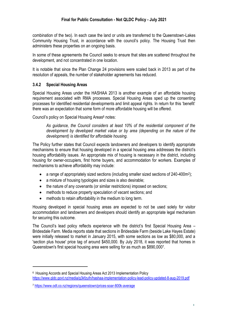combination of the two). In each case the land or units are transferred to the Queenstown-Lakes Community Housing Trust, in accordance with the council's policy. The Housing Trust then administers these properties on an ongoing basis.

In some of these agreements the Council seeks to ensure that sites are scattered throughout the development, and not concentrated in one location.

It is notable that since the Plan Change 24 provisions were scaled back in 2013 as part of the resolution of appeals, the number of stakeholder agreements has reduced.

#### <span id="page-11-0"></span>**3.4.2 Special Housing Areas**

Special Housing Areas under the HASHAA 2013 is another example of an affordable housing requirement associated with RMA processes. Special Housing Areas sped up the consenting processes for identified residential developments and limit appeal rights. In return for this 'benefit' there was an expectation that some form of more affordable housing will be offered.

Council's policy on Special Housing Areas<sup>6</sup> notes:

*As guidance, the Council considers at least 10% of the residential component of the development by developed market value or by area (depending on the nature of the development) is identified for affordable housing.*

The Policy further states that Council expects landowners and developers to identify appropriate mechanisms to ensure that housing developed in a special housing area addresses the district's housing affordability issues. An appropriate mix of housing is necessary in the district, including housing for owner-occupiers, first home buyers, and accommodation for workers. Examples of mechanisms to achieve affordability may include:

- a range of appropriately sized sections (including smaller sized sections of 240-400m<sup>2</sup>);
- a mixture of housing typologies and sizes is also desirable;
- the nature of any covenants (or similar restrictions) imposed on sections;
- methods to reduce property speculation of vacant sections; and
- methods to retain affordability in the medium to long term.

Housing developed in special housing areas are expected to not be used solely for visitor accommodation and landowners and developers should identify an appropriate legal mechanism for securing this outcome.

The Council's lead policy reflects experience with the district's first Special Housing Area – Bridesdale Farm. Media reports state that sections in Bridesdale Farm (beside Lake Hayes Estate) were initially released to market in January 2015, with some sections as low as \$80,000, and a 'section plus house' price tag of around \$450,000. By July 2018, it was reported that homes in Queenstown's first special housing area were selling for as much as \$890,000<sup>7</sup> .

<sup>&</sup>lt;sup>6</sup> Housing Accords and Special Housing Areas Act 2013 Implementation Policy <https://www.qldc.govt.nz/media/g3kfzufn/hashaa-implementation-policy-lead-policy-updated-8-aug-2019.pdf>

<sup>7</sup> <https://www.odt.co.nz/regions/queenstown/prices-soar-800k-average>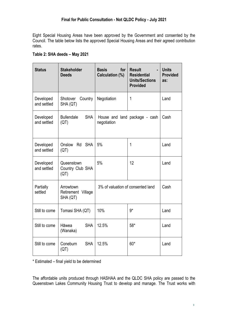Eight Special Housing Areas have been approved by the Government and consented by the Council. The table below lists the approved Special Housing Areas and their agreed contribution rates.

| <b>Status</b>            | <b>Stakeholder</b><br><b>Deeds</b>          | <b>Basis</b><br>for<br>Calculation (%) | <b>Result</b><br><b>Residential</b><br><b>Units/Sections</b><br><b>Provided</b> | <b>Units</b><br><b>Provided</b><br>as: |
|--------------------------|---------------------------------------------|----------------------------------------|---------------------------------------------------------------------------------|----------------------------------------|
| Developed<br>and settled | Shotover<br>Country<br>SHA (QT)             | Negotiation                            | 1                                                                               | Land                                   |
| Developed<br>and settled | <b>Bullendale</b><br><b>SHA</b><br>(QT)     | negotiation                            | House and land package - cash                                                   | Cash                                   |
| Developed<br>and settled | Onslow Rd SHA<br>(QT)                       | 5%                                     | 1                                                                               | Land                                   |
| Developed<br>and settled | Queenstown<br>Country Club SHA<br>(QT)      | 5%                                     | 12                                                                              | Land                                   |
| Partially<br>settled     | Arrowtown<br>Retirement Village<br>SHA (QT) | 3% of valuation of consented land      |                                                                                 | Cash                                   |
| Still to come            | Tomasi SHA (QT)                             | 10%                                    | $9*$                                                                            | Land                                   |
| Still to come            | <b>SHA</b><br>Hāwea<br>(Wanaka)             | 12.5%                                  | $58*$                                                                           | Land                                   |
| Still to come            | <b>SHA</b><br>Coneburn<br>(QT)              | 12.5%                                  | 60*                                                                             | Land                                   |

\* Estimated – final yield to be determined

The affordable units produced through HASHAA and the QLDC SHA policy are passed to the Queenstown Lakes Community Housing Trust to develop and manage. The Trust works with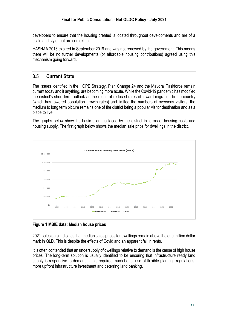developers to ensure that the housing created is located throughout developments and are of a scale and style that are contextual.

HASHAA 2013 expired in September 2019 and was not renewed by the government. This means there will be no further developments (or affordable housing contributions) agreed using this mechanism going forward.

#### <span id="page-13-0"></span>**3.5 Current State**

The issues identified in the HOPE Strategy, Plan Change 24 and the Mayoral Taskforce remain current today and if anything, are becoming more acute. While the Covid-19 pandemic has modified the district's short term outlook as the result of reduced rates of inward migration to the country (which has lowered population growth rates) and limited the numbers of overseas visitors, the medium to long term picture remains one of the district being a popular visitor destination and as a place to live.

The graphs below show the basic dilemma faced by the district in terms of housing costs and housing supply. The first graph below shows the median sale price for dwellings in the district.



**Figure 1 MBIE data: Median house prices** 

2021 sales data indicates that median sales prices for dwellings remain above the one million dollar mark in QLD. This is despite the effects of Covid and an apparent fall in rents.

It is often contended that an undersupply of dwellings relative to demand is the cause of high house prices. The long-term solution is usually identified to be ensuring that infrastructure ready land supply is responsive to demand – this requires much better use of flexible planning regulations, more upfront infrastructure investment and deterring land banking.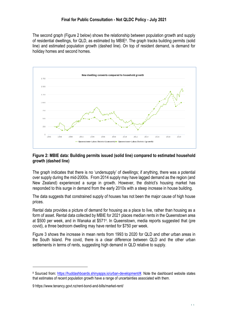The second graph (Figure 2 below) shows the relationship between population growth and supply of residential dwellings, for QLD, as estimated by MBIE<sup>8</sup>. The graph tracks building permits (solid line) and estimated population growth (dashed line). On top of resident demand, is demand for holiday homes and second homes.



#### **Figure 2: MBIE data: Building permits issued (solid line) compared to estimated household growth (dashed line)**

The graph indicates that there is no 'undersupply' of dwellings; if anything, there was a potential over supply during the mid-2000s. From 2014 supply may have lagged demand as the region (and New Zealand) experienced a surge in growth. However, the district's housing market has responded to this surge in demand from the early 2010s with a steep increase in house building.

The data suggests that constrained supply of houses has not been the major cause of high house prices.

Rental data provides a picture of demand for housing as a place to live, rather than housing as a form of asset. Rental data collected by MBIE for 2021 places median rents in the Queenstown area at \$500 per week, and in Wanaka at \$571<sup>9</sup> . In Queenstown, media reports suggested that (pre covid), a three bedroom dwelling may have rented for \$750 per week.

Figure 3 shows the increase in mean rents from 1993 to 2020 for QLD and other urban areas in the South Island. Pre covid, there is a clear difference between QLD and the other urban settlements in terms of rents, suggesting high demand in QLD relative to supply.

<sup>8</sup> Sourced from: [https://huddashboards.shinyapps.io/urban-development/#.](https://huddashboards.shinyapps.io/urban-development/) Note the dashboard website states that estimates of recent population growth have a range of uncertainties associated with them.

<sup>9</sup> https://www.tenancy.govt.nz/rent-bond-and-bills/market-rent/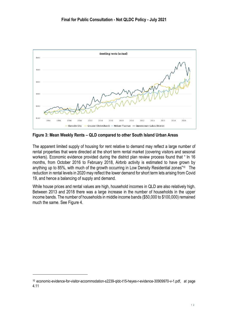

**Figure 3: Mean Weekly Rents – QLD compared to other South Island Urban Areas**

The apparent limited supply of housing for rent relative to demand may reflect a large number of rental properties that were directed at the short term rental market (covering visitors and sesonal workers). Economic evidence provided during the district plan review process found that " In 16 months, from October 2016 to February 2018, Airbnb activity is estimated to have grown by anything up to 85%, with much of the growth occurring in Low Density Residential zones"<sup>10</sup> The reduction in rental levels in 2020 may reflect the lower demand for short term lets arising from Covid 19, and hence a balancing of supply and demand.

While house prices and rental values are high, household incomes in QLD are also relatively high. Between 2013 and 2018 there was a large increase in the number of households in the upper income bands. The number of households in middle income bands (\$50,000 to \$100,000) remained much the same. See Figure 4.

<sup>10</sup> economic-evidence-for-visitor-accommodation-s2239-qldc-t15-heyes-r-evidence-30909970-v-1.pdf, at page 4.11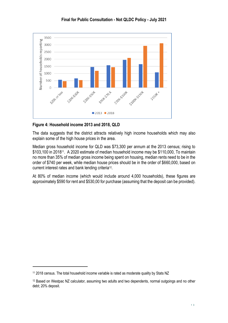

**Figure 4: Household income 2013 and 2018, QLD**

The data suggests that the district attracts relatively high income households which may also explain some of the high house prices in the area.

Median gross household income for QLD was \$73,300 per annum at the 2013 census; rising to \$103,100 in 2018<sup>11</sup>. A 2020 estimate of median household income may be \$110,000, To maintain no more than 35% of median gross income being spent on housing, median rents need to be in the order of \$740 per week, while median house prices should be in the order of \$660,000, based on current interest rates and bank lending criteria<sup>12</sup>.

At 80% of median income (which would include around 4,000 households), these figures are approximately \$590 for rent and \$530,00 for purchase (assuming that the deposit can be provided).

<sup>&</sup>lt;sup>11</sup> 2018 census. The total household income variable is rated as moderate quality by Stats NZ

<sup>&</sup>lt;sup>12</sup> Based on Westpac NZ calculator, assuming two adults and two dependents, normal outgoings and no other debt; 20% deposit.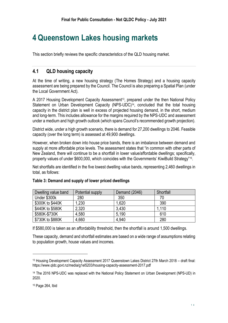### <span id="page-17-0"></span>**4 Queenstown Lakes housing markets**

This section briefly reviews the specific characteristics of the QLD housing market.

#### <span id="page-17-1"></span>**4.1 QLD housing capacity**

At the time of writing, a new housing strategy (The Homes Strategy) and a housing capacity assessment are being prepared by the Council. The Council is also preparing a Spatial Plan (under the Local Government Act).

A 2017 Housing Development Capacity Assessment<sup>13</sup>, prepared under the then National Policy Statement on Urban Development Capacity (NPS-UDC)<sup>14</sup>, concluded that the total housing capacity in the district plan is well in excess of projected housing demand, in the short, medium and long-term. This includes allowance for the margins required by the NPS-UDC and assessment under a medium and high growth outlook (which spans Council's recommended growth projection).

District wide, under a high growth scenario, there is demand for 27,200 dwellings to 2046. Feasible capacity (over the long term) is assessed at 49,900 dwellings.

However, when broken down into house price bands, there is an imbalance between demand and supply at more affordable price levels. The assessment states that "in common with other parts of New Zealand, there will continue to be a shortfall in lower value/affordable dwellings; specifically, property values of under \$600,000, which coincides with the Governments' KiwiBuild Strategy"<sup>15</sup> .

Net shortfalls are identified in the five lowest dwelling value bands, representing 2,460 dwellings in total, as follows:

| Dwelling value band | Potential supply | Demand (2046) | Shortfall |
|---------------------|------------------|---------------|-----------|
| Under \$300k        | 280              | 350           | 70        |
| \$300K to \$440K    | 1,230            | 1,620         | 390       |
| \$440K to \$580K    | 2,320            | 3,430         | 1.110     |
| \$580K-\$730K       | 4,580            | 5,190         | 610       |
| \$730K to \$880K    | 4,660            | 4,940         | 280       |

#### **Table 3: Demand and supply of lower priced dwellings**

If \$580,000 is taken as an affordability threshold, then the shortfall is around 1,500 dwellings.

These capacity, demand and shortfall estimates are based on a wide range of assumptions relating to population growth, house values and incomes.

<sup>13</sup> Housing Development Capacity Assessment 2017 Queenstown Lakes District 27th March 2018 – draft final: https://www.qldc.govt.nz/media/g1el5203/housing-capacity-assessment-2017.pdf

<sup>14</sup> The 2016 NPS-UDC was replaced with the National Policy Statement on Urban Development (NPS-UD) in 2020.

<sup>15</sup> Page 264, Ibid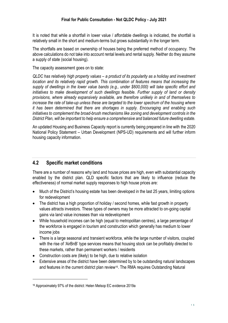It is noted that while a shortfall in lower value / affordable dwellings is indicated, the shortfall is relatively small in the short and medium-terms but grows substantially in the longer term.

The shortfalls are based on ownership of houses being the preferred method of occupancy. The above calculations do not take into account rental levels and rental supply. Neither do they assume a supply of state (social housing).

The capacity assessment goes on to state:

*QLDC has relatively high property values – a product of its popularity as a holiday and investment location and its relatively rapid growth. This combination of features means that increasing the supply of dwellings in the lower value bands (e.g., under \$600,000) will take specific effort and initiatives to make development of such dwellings feasible. Further supply of land or density provisions, where already expansively available, are therefore unlikely in and of themselves to increase the rate of take-up unless these are targeted to the lower spectrum of the housing where it has been determined that there are shortages in supply. Encouraging and enabling such initiatives to complement the broad-brush mechanisms like zoning and development controls in the District Plan, will be important to help ensure a comprehensive and balanced future dwelling estate.*

An updated Housing and Business Capacity report is currently being prepared in line with the 2020 National Policy Statement – Urban Development (NPS-UD) requirements and will further inform housing capacity information.

#### <span id="page-18-0"></span>**4.2 Specific market conditions**

There are a number of reasons why land and house prices are high, even with substantial capacity enabled by the district plan. QLD specific factors that are likely to influence (reduce the effectiveness) of normal market supply responses to high house prices are:

- Much of the District's housing estate has been developed in the last 25 years, limiting options for redevelopment
- The district has a high proportion of holiday / second homes, while fast growth in property values attracts investors. These types of owners may be more attracted to on-going capital gains via land value increases than via redevelopment
- While household incomes can be high (equal to metropolitan centres), a large percentage of the workforce is engaged in tourism and construction which generally has medium to lower income jobs
- There is a large seasonal and transient workforce, while the large number of visitors, coupled with the rise of 'AirBnB' type services means that housing stock can be profitably directed to these markets, rather than permanent workers / residents
- Construction costs are (likely) to be high, due to relative isolation
- Extensive areas of the district have been determined by to be outstanding natural landscapes and features in the current district plan review<sup>16</sup>. The RMA requires Outstanding Natural

<sup>16</sup> Approximately 97% of the district: Helen Melsop EC evidence 2019a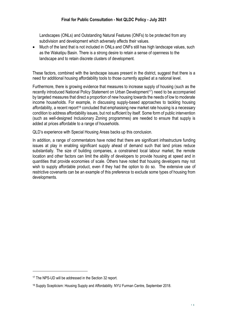Landscapes (ONLs) and Outstanding Natural Features (ONFs) to be protected from any subdivision and development which adversely affects their values.

• Much of the land that is not included in ONLs and ONFs still has high landscape values, such as the Wakatipu Basin. There is a strong desire to retain a sense of openness to the landscape and to retain discrete clusters of development.

These factors, combined with the landscape issues present in the district, suggest that there is a need for additional housing affordability tools to those currently applied at a national level.

Furthermore, there is growing evidence that measures to increase supply of housing (such as the recently introduced National Policy Statement on Urban Development<sup>17</sup>) need to be accompanied by targeted measures that direct a proportion of new housing towards the needs of low to moderate income households. For example, in discussing supply-based approaches to tackling housing affordability, a recent report<sup>18</sup> concluded that emphasising new market rate housing is a necessary condition to address affordability issues, but not sufficient by itself. Some form of public intervention (such as well-designed Inclusionary Zoning programmes) are needed to ensure that supply is added at prices affordable to a range of households.

QLD's experience with Special Housing Areas backs up this conclusion.

In addition, a range of commentators have noted that there are significant infrastructure funding issues at play in enabling significant supply ahead of demand such that land prices reduce substantially. The size of building companies, a constrained local labour market, the remote location and other factors can limit the ability of developers to provide housing at speed and in quantities that provide economies of scale. Others have noted that housing developers may not wish to supply affordable product, even if they had the option to do so. The extensive use of restrictive covenants can be an example of this preference to exclude some types of housing from developments.

<sup>17</sup> The NPS-UD will be addressed in the Section 32 report.

<sup>18</sup> Supply Scepticism: Housing Supply and Affordability. NYU Furman Centre, September 2018.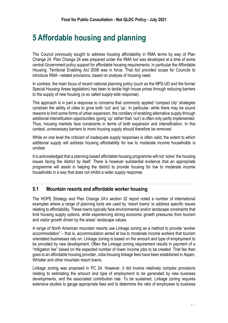### <span id="page-20-0"></span>**5 Affordable housing and planning**

The Council previously sought to address housing affordability in RMA terms by way of Plan Change 24. Plan Change 24 was prepared under the RMA but was developed at a time of some central Government policy support for affordable housing requirements. In particular the Affordable Housing: Territorial Enabling Act 2008 was in force. That Act provided scope for Councils to introduce RMA –related provisions, based on analysis of housing need.

In contrast, the main focus of recent national planning policy (such as the NPS-UD and the former Special Housing Areas legislation) has been to tackle high house prices through reducing barriers to the supply of new housing (a so called supply-side response).

This approach is in part a response to concerns that commonly applied 'compact city' strategies constrain the ability of cities to grow both 'out' and 'up'. In particular, while there may be sound reasons to limit some forms of urban expansion, the corollary of enabling alternative supply through additional intensification opportunities (going 'up' rather than 'out') is often only partly implemented. Thus, housing markets face constraints in terms of both expansion and intensification. In this context, unnecessary barriers to more housing supply should therefore be removed.

While on one level the criticism of inadequate supply responses is often valid, the extent to which additional supply will address housing affordability for low to moderate income households is unclear.

It is acknowledged that a planning-based affordable housing programme will not 'solve' the housing issues facing the district by itself. There is however substantial evidence that an appropriate programme will assist in helping the district to provide housing for low to moderate income households in a way that does not inhibit a wider supply response.

#### <span id="page-20-1"></span>**5.1 Mountain resorts and affordable worker housing**

The HOPE Strategy and Plan Change 24's section 32 report noted a number of international examples where a range of planning tools are used by 'resort towns' to address specific issues relating to affordability. These towns typically face environmental and/or landscape constraints that limit housing supply options, while experiencing strong economic growth pressures from tourism and visitor growth driven by the areas' landscape values.

A range of North American mountain resorts use Linkage zoning as a method to provide 'worker accommodation" – that is, accommodation aimed at low to moderate income workers that tourism orientated businesses rely on. Linkage zoning is based on the amount and type of employment to be provided by new development. Often the Linkage zoning requirement results in payment of a "mitigation fee" based on the expected number of lower income jobs to be created. That fee then goes to an affordable housing provider. Jobs-housing linkage fees have been established in Aspen, Whistler and other mountain resort towns.

Linkage zoning was proposed in PC 24. However, it did involve relatively complex provisions relating to estimating the amount and type of employment to be generated by new business developments, and the associated contribution rate. To be sustained, Linkage zoning requires extensive studies to gauge appropriate fees and to determine the ratio of employees to business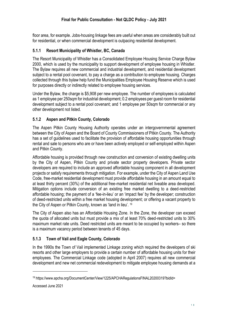floor area, for example. Jobs-housing linkage fees are useful when areas are considerably built out for residential, or when commercial development is outpacing residential development.

#### <span id="page-21-0"></span>**5.1.1 Resort Municipality of Whistler, BC, Canada**

The Resort Municipality of Whistler has a Consolidated Employee Housing Service Charge Bylaw 2000, which is used by the municipality to support development of employee housing in Whistler. The Bylaw requires all new commercial and industrial development, and residential development subject to a rental pool covenant, to pay a charge as a contribution to employee housing. Charges collected through this bylaw help fund the Municipalities Employee Housing Reserve which is used for purposes directly or indirectly related to employee housing services.

Under the Bylaw, the charge is \$5,908 per new employee. The number of employees is calculated as 1 employee per 250sqm for industrial development; 0.2 employees per guest room for residential development subject to a rental pool covenant; and 1 employee per 50sqm for commercial or any other development not listed.

#### <span id="page-21-1"></span>**5.1.2 Aspen and Pitkin County, Colorado**

The Aspen Pitkin County Housing Authority operates under an intergovernmental agreement between the City of Aspen and the Board of County Commissioners of Pitkin County. The Authority has a set of guidelines used to facilitate the provision of affordable housing opportunities through rental and sale to persons who are or have been actively employed or self-employed within Aspen and Pitkin County.

Affordable housing is provided through new construction and conversion of existing dwelling units by the City of Aspen, Pitkin County and private sector property developers. Private sector developers are required to include an approved affordable housing component in all development projects or satisfy requirements through mitigation. For example, under the City of Aspen Land Use Code, free-market residential development must provide affordable housing in an amount equal to at least thirty percent (30%) of the additional free-market residential net liveable area developed. Mitigation options include conversion of an existing free market dwelling to a deed-restricted affordable housing; the payment of a 'fee-in-lieu' or an 'impact fee' by the developer; construction of deed-restricted units within a free market housing development; or offering a vacant property to the City of Aspen or Pitkin County, known as 'land in lieu'. <sup>19</sup>

The City of Aspen also has an Affordable Housing Zone. In the Zone, the developer can exceed the quota of allocated units but must provide a mix of at least 70% deed-restricted units to 30% maximum market rate units. Deed restricted units are meant to be occupied by workers– so there is a maximum vacancy period between tenants of 45 days.

#### <span id="page-21-2"></span>**5.1.3 Town of Vail and Eagle County, Colorado**

In the 1990s the Town of Vail implemented Linkage zoning which required the developers of ski resorts and other large employers to provide a certain number of affordable housing units for their employees. The Commercial Linkage code (adopted in April 2007) requires all new commercial development and new net commercial redevelopment to mitigate employee housing demands at a

<sup>19</sup> https://www.apcha.org/DocumentCenter/View/1225/APCHARegulationsFINAL20200319?bidId=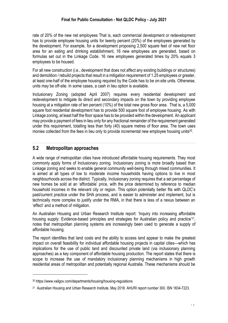rate of 20% of the new net employees That is, each commercial development or redevelopment has to provide employee housing units for twenty percent (20%) of the employees generated by the development. For example, for a development proposing 2,500 square feet of new net floor area for an eating and drinking establishment, 16 new employees are generated, based on formulas set out in the Linkage Code. 16 new employees generated times by 20% equals 3 employees to be housed.

For all new construction (i.e., development that does not affect any existing buildings or structures) and demolition / rebuild projects that result in a mitigation requirement of 1.25 employees or greater, at least one-half of the employee housing required by the Code has to be on-site units. Otherwise, units may be off-site. In some cases, a cash in lieu option is available.

Inclusionary Zoning (adopted April 2007) requires every residential development and redevelopment to mitigate its direct and secondary impacts on the town by providing employee housing at a mitigation rate of ten percent (10%) of the total new gross floor area. That is, a 5,000 square foot residential development has to provide 500 square foot of employee housing. As with Linkage zoning, at least half the floor space has to be provided within the development. An applicant may provide a payment of fees in lieu only for any fractional remainder of the requirement generated under this requirement, totalling less than forty (40) square metres of floor area. The town uses monies collected from the fees in lieu only to provide incremental new employee housing units<sup>20</sup>.

#### <span id="page-22-0"></span>**5.2 Metropolitan approaches**

A wide range of metropolitan cities have introduced affordable housing requirements. They most commonly apply forms of Inclusionary zoning. Inclusionary zoning is more broadly based than Linkage zoning and seeks to enable general community well-being through mixed communities. It is aimed at all types of low to moderate income households having options to live in most neighbourhoods across the district. Typically, Inclusionary zoning requires that a set percentage of new homes be sold at an 'affordable' price, with the price determined by reference to median household incomes in the relevant city or region. This option potentially better fits with QLDC's past/current practice under the SHA process, and is easier to administer and implement, but is technically more complex to justify under the RMA, in that there is less of a nexus between an 'effect' and a method of mitigation.

An Australian Housing and Urban Research Institute report: 'Inquiry into increasing affordable housing supply: Evidence-based principles and strategies for Australian policy and practice<sup>'21</sup>, notes that metropolitan planning systems are increasingly been used to generate a supply of affordable housing.

The report identifies that land costs and the ability to access land appear to make the greatest impact on overall feasibility for individual affordable housing projects in capital cities—which has implications for the use of public land and discounted private land (via inclusionary planning approaches) as a key component of affordable housing production. The report states that there is scope to increase the use of mandatory inclusionary planning mechanisms in high growth residential areas of metropolitan and potentially regional Australia. These mechanisms should be

<sup>20</sup> https://www.vailgov.com/departments/housing/housing-regulations

<sup>21</sup> Australian Housing and Urban Research Institute, May 2018. AHURI report number 300. ISN 1834-7223.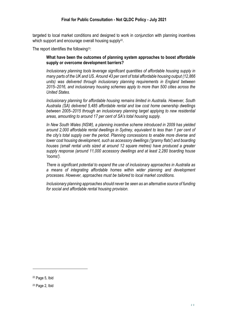targeted to local market conditions and designed to work in conjunction with planning incentives which support and encourage overall housing supply<sup>22</sup>.

The report identifies the following23:

#### **What have been the outcomes of planning system approaches to boost affordable supply or overcome development barriers?**

*Inclusionary planning tools leverage significant quantities of affordable housing supply in many parts of the UK and US. Around 43 per cent of total affordable housing output (12,866 units*) was delivered through inclusionary planning requirements in England between *2015–2016, and inclusionary housing schemes apply to more than 500 cities across the United States.* 

*Inclusionary planning for affordable housing remains limited in Australia. However, South Australia (SA) delivered 5,485 affordable rental and low cost home ownership dwellings between 2005–2015 through an inclusionary planning target applying to new residential areas, amounting to around 17 per cent of SA's total housing supply.* 

*In New South Wales (NSW), a planning incentive scheme introduced in 2009 has yielded around 2,000 affordable rental dwellings in Sydney, equivalent to less than 1 per cent of the city's total supply over the period. Planning concessions to enable more diverse and lower cost housing development, such as accessory dwellings ('granny flats') and boarding houses (small rental units sized at around 12 square metres) have produced a greater supply response (around 11,000 accessory dwellings and at least 2,280 boarding house 'rooms').* 

*There is significant potential to expand the use of inclusionary approaches in Australia as a means of integrating affordable homes within wider planning and development processes. However, approaches must be tailored to local market conditions.* 

*Inclusionary planning approaches should never be seen as an alternative source of funding for social and affordable rental housing provision.* 

<sup>22</sup> Page 5, Ibid

<sup>23</sup> Page 2, Ibid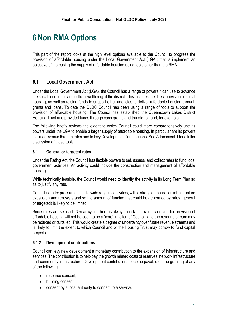### <span id="page-24-0"></span>**6 Non RMA Options**

This part of the report looks at the high level options available to the Council to progress the provision of affordable housing under the Local Government Act (LGA); that is implement an objective of increasing the supply of affordable housing using tools other than the RMA.

#### <span id="page-24-1"></span>**6.1 Local Government Act**

Under the Local Government Act (LGA), the Council has a range of powers it can use to advance the social, economic and cultural wellbeing of the district. This includes the direct provision of social housing, as well as raising funds to support other agencies to deliver affordable housing through grants and loans. To date the QLDC Council has been using a range of tools to support the provision of affordable housing. The Council has established the Queenstown Lakes District Housing Trust and provided funds through cash grants and transfer of land, for example.

The following briefly reviews the extent to which Council could more comprehensively use its powers under the LGA to enable a larger supply of affordable housing. In particular are its powers to raise revenue through rates and to levy Development Contributions. See Attachment 1 for a fuller discussion of these tools.

#### <span id="page-24-2"></span>**6.1.1 General or targeted rates**

Under the Rating Act, the Council has flexible powers to set, assess, and collect rates to fund local government activities. An activity could include the construction and management of affordable housing.

While technically feasible, the Council would need to identify the activity in its Long Term Plan so as to justify any rate.

Council is under pressure to fund a wide range of activities, with a strong emphasis on infrastructure expansion and renewals and so the amount of funding that could be generated by rates (general or targeted) is likely to be limited.

Since rates are set each 3 year cycle, there is always a risk that rates collected for provision of affordable housing will not be seen to be a 'core' function of Council, and the revenue stream may be reduced or curtailed. This would create a degree of uncertainty over future revenue streams and is likely to limit the extent to which Council and or the Housing Trust may borrow to fund capital projects.

#### <span id="page-24-3"></span>**6.1.2 Development contributions**

Council can levy new development a monetary contribution to the expansion of infrastructure and services. The contribution is to help pay the growth related costs of reserves, network infrastructure and community infrastructure. Development contributions become payable on the granting of any of the following:

- resource consent;
- building consent;
- consent by a local authority to connect to a service.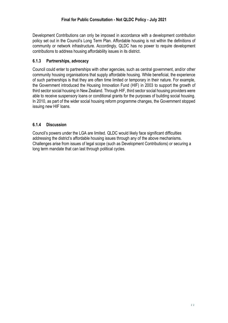Development Contributions can only be imposed in accordance with a development contribution policy set out in the Council's Long Term Plan. Affordable housing is not within the definitions of community or network infrastructure. Accordingly, QLDC has no power to require development contributions to address housing affordability issues in its district.

#### <span id="page-25-0"></span>**6.1.3 Partnerships, advocacy**

Council could enter to partnerships with other agencies, such as central government, and/or other community housing organisations that supply affordable housing. While beneficial, the experience of such partnerships is that they are often time limited or temporary in their nature. For example, the Government introduced the Housing Innovation Fund (HIF) in 2003 to support the growth of third sector social housing in New Zealand. Through HIF, third sector social housing providers were able to receive suspensory loans or conditional grants for the purposes of building social housing. In 2010, as part of the wider social housing reform programme changes, the Government stopped issuing new HIF loans.

#### <span id="page-25-1"></span>**6.1.4 Discussion**

Council's powers under the LGA are limited. QLDC would likely face significant difficulties addressing the district's affordable housing issues through any of the above mechanisms. Challenges arise from issues of legal scope (such as Development Contributions) or securing a long term mandate that can last through political cycles.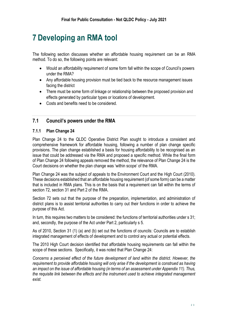### <span id="page-26-0"></span>**7 Developing an RMA tool**

The following section discusses whether an affordable housing requirement can be an RMA method. To do so, the following points are relevant:

- Would an affordability requirement of some form fall within the scope of Council's powers under the RMA?
- Any affordable housing provision must be tied back to the resource management issues facing the district
- There must be some form of linkage or relationship between the proposed provision and effects generated by particular types or locations of development.
- Costs and benefits need to be considered.

#### <span id="page-26-1"></span>**7.1 Council's powers under the RMA**

#### <span id="page-26-2"></span>**7.1.1 Plan Change 24**

Plan Change 24 to the QLDC Operative District Plan sought to introduce a consistent and comprehensive framework for affordable housing, following a number of plan change specific provisions. The plan change established a basis for housing affordability to be recognised as an issue that could be addressed via the RMA and proposed a specific method. While the final form of Plan Change 24 following appeals removed the method, the relevance of Plan Change 24 is the Court decisions on whether the plan change was 'within scope' of the RMA.

Plan Change 24 was the subject of appeals to the Environment Court and the High Court (2010). These decisions established that an affordable housing requirement (of some form) can be a matter that is included in RMA plans. This is on the basis that a requirement can fall within the terms of section 72, section 31 and Part 2 of the RMA.

Section 72 sets out that the purpose of the preparation, implementation, and administration of district plans is to assist territorial authorities to carry out their functions in order to achieve the purpose of this Act.

In turn, this requires two matters to be considered: the functions of territorial authorities under s 31; and, secondly, the purpose of the Act under Part 2, particularly s 5.

As of 2010, Section 31 (1) (a) and (b) set out the functions of councils: Councils are to establish integrated management of effects of development and to control any actual or potential effects.

The 2010 High Court decision identified that affordable housing requirements can fall within the scope of these sections. Specifically, it was noted that Plan Change 24:

*Concerns a perceived effect of the future development of land within the district. However, the requirement to provide affordable housing will only arise if the development is construed as having an impact on the issue of affordable housing (in terms of an assessment under Appendix 11). Thus, the requisite link between the effects and the instrument used to achieve integrated management exist.*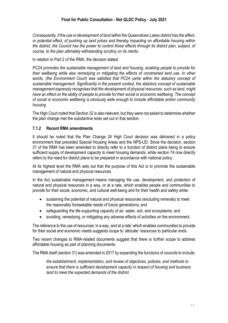*Consequently, if the use or development of land within the Queenstown Lakes district has the effect, or potential effect, of pushing up land prices and thereby impacting on affordable housing within the district, the Council has the power to control those effects through its district plan, subject, of course, to the plan ultimately withstanding scrutiny on its merits.*

In relation to Part 2 of the RMA, the decision stated:

*PC24 promotes the sustainable management of land and housing, enabling people to provide for their wellbeing while also remedying or mitigating the effects of constrained land use. In other*  words, (the Environment Court) was satisfied that PC24 came within the statutory concept of *sustainable management. Significantly in the present context, the statutory concept of sustainable management expressly recognises that the development of physical resources, such as land, might have an effect on the ability of people to provide for their social or economic wellbeing. The concept of social or economic wellbeing is obviously wide enough to include affordable and/or community housing.*

The High Court noted that Section 32 is also relevant, but they were not asked to determine whether the plan change met the substantive tests set out in that section.

#### <span id="page-27-0"></span>**7.1.2 Recent RMA amendments**

It should be noted that the Plan Change 24 High Court decision was delivered in a policy environment that preceded Special Housing Areas and the NPS-UD. Since the decision, section 31 of the RMA has been amended to directly refer to a function of district plans being to ensure sufficient supply of development capacity to meet housing demands, while section 74 now directly refers to the need for district plans to be prepared in accordance with national policy.

At its highest level the RMA sets out that the purpose of this Act is to promote the sustainable management of natural and physical resources.

In the Act, sustainable management means managing the use, development, and protection of natural and physical resources in a way, or at a rate, which enables people and communities to provide for their social, economic, and cultural well-being and for their health and safety while:

- sustaining the potential of natural and physical resources (excluding minerals) to meet the reasonably foreseeable needs of future generations; and
- safeguarding the life-supporting capacity of air, water, soil, and ecosystems; and
- avoiding, remedying, or mitigating any adverse effects of activities on the environment.

The reference to the use of resources 'in a way, and at a rate' which enables communities to provide for their social and economic needs suggests scope to 'allocate' resources to particular ends.

Two recent changes to RMA-related documents suggest that there is further scope to address affordable housing as part of planning documents.

The RMA itself (section 31) was amended in 2017 by expanding the functions of councils to include:

*the establishment, implementation, and review of objectives, policies, and methods to ensure that there is sufficient development capacity in respect of housing and business land to meet the expected demands of the district.*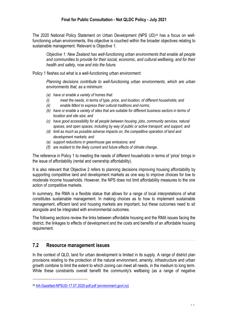The 2020 National Policy Statement on Urban Development (NPS UD)<sup>24</sup> has a focus on wellfunctioning urban environments, this objective is couched within the broader objectives relating to sustainable management. Relevant is Objective 1:

*Objective 1: New Zealand has well-functioning urban environments that enable all people and communities to provide for their social, economic, and cultural wellbeing, and for their health and safety, now and into the future.* 

Policy 1 fleshes out what is a well-functioning urban environment:

*Planning decisions contribute to well-functioning urban environments, which are urban environments that, as a minimum:* 

- *(a) have or enable a variety of homes that:*
- *(i) meet the needs, in terms of type, price, and location, of different households; and*
- *(ii) enable Māori to express their cultural traditions and norms;*
- *(b) have or enable a variety of sites that are suitable for different business sectors in terms of location and site size; and*
- *(c) have good accessibility for all people between housing, jobs, community services, natural spaces, and open spaces, including by way of public or active transport; and support, and*
- *(d) limit as much as possible adverse impacts on, the competitive operation of land and development markets; and*
- *(e) support reductions in greenhouse gas emissions; and*
- *(f) are resilient to the likely current and future effects of climate change.*

The reference in Policy 1 to meeting the needs of different households in terms of 'price' brings in the issue of affordability (rental and ownership affordability).

It is also relevant that Objective 2 refers to planning decisions improving housing affordability by supporting competitive land and development markets as one way to improve choices for low to moderate income households. However, the NPS does not limit affordability measures to the one action of competitive markets.

In summary, the RMA is a flexible statue that allows for a range of local interpretations of what constitutes sustainable management. In making choices as to how to implement sustainable management, efficient land and housing markets are important, but these outcomes need to sit alongside and be integrated with environmental outcomes.

The following sections review the links between affordable housing and the RMA issues facing the district, the linkages to effects of development and the costs and benefits of an affordable housing requirement.

#### <span id="page-28-0"></span>**7.2 Resource management issues**

In the context of QLD, land for urban development is limited in its supply. A range of district plan provisions relating to the protection of the natural environment, amenity, infrastructure and urban growth combine to limit the extent to which zoning can meet all needs, in the medium to long term. While these constraints overall benefit the community's wellbeing (as a range of negative

<sup>24</sup> [AA-Gazetted-NPSUD-17.07.2020-pdf.pdf \(environment.govt.nz\)](https://environment.govt.nz/assets/Publications/Files/AA-Gazetted-NPSUD-17.07.2020-pdf.pdf)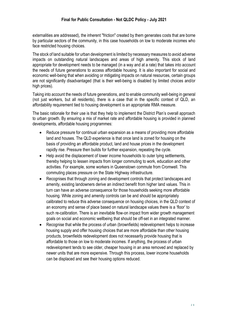externalities are addressed), the inherent "friction" created by them generates costs that are borne by particular sectors of the community, in this case households on low to moderate incomes who face restricted housing choices.

The stock of land suitable for urban development is limited by necessary measures to avoid adverse impacts on outstanding natural landscapes and areas of high amenity. This stock of land appropriate for development needs to be managed (in a way and at a rate) that takes into account the needs of future generations to access affordable housing. It is also important for social and economic well-being that when avoiding or mitigating impacts on natural resources, certain groups are not significantly disadvantaged (that is their well-being is disabled by limited choices and/or high prices).

Taking into account the needs of future generations, and to enable community well-being in general (not just workers, but all residents), there is a case that in the specific context of QLD, an affordability requirement tied to housing development is an appropriate RMA measure.

The basic rationale for their use is that they help to implement the District Plan's overall approach to urban growth. By ensuring a mix of market rate and affordable housing is provided in planned developments, affordable housing programmes:

- Reduce pressure for continual urban expansion as a means of providing more affordable land and houses. The QLD experience is that once land is zoned for housing on the basis of providing an affordable product, land and house prices in the development rapidly rise. Pressure then builds for further expansion, repeating the cycle.
- Help avoid the displacement of lower income households to outer lying settlements, thereby helping to lessen impacts from longer commuting to work, education and other activities. For example, some workers in Queenstown commute from Cromwell. This commuting places pressure on the State Highway infrastructure.
- Recognises that through zoning and development controls that protect landscapes and amenity, existing landowners derive an indirect benefit from higher land values. This in turn can have an adverse consequence for those households seeking more affordable housing. While zoning and amenity controls can be and should be appropriately calibrated to reduce this adverse consequence on housing choices, in the QLD context of an economy and sense of place based on natural landscape values there is a 'floor' to such re-calibration. There is an inevitable flow-on impact from wider growth management goals on social and economic wellbeing that should be off-set in an integrated manner.
- Recognise that while the process of urban (brownfields) redevelopment helps to increase housing supply and offer housing choices that are more affordable than other housing products, brownfields redevelopment does not necessarily provide housing that is affordable to those on low to moderate incomes. If anything, the process of urban redevelopment tends to see older, cheaper housing in an area removed and replaced by newer units that are more expensive. Through this process, lower income households can be displaced and see their housing options reduced.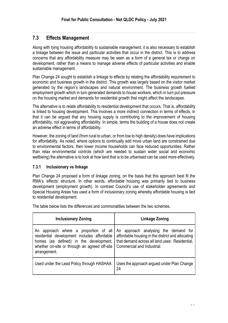#### <span id="page-30-0"></span>**7.3 Effects Management**

Along with tying housing affordability to sustainable management, it is also necessary to establish a linkage between the issue and particular activities that occur in the district. This is to address concerns that any affordability measure may be seen as a form of a general tax or charge on development, rather than a means to manage adverse effects of particular activities and enable sustainable management.

Plan Change 24 sought to establish a linkage to effects by relating the affordability requirement to economic and business growth in the district. This growth was largely based on the visitor market generated by the region's landscapes and natural environment. The business growth fuelled employment growth which in turn generated demands to house workers, which in turn put pressure on the housing market and demands for residential growth that might affect the landscapes.

The alternative is to relate affordability to residential development that occurs. That is, affordability is linked to housing development. This involves a more indirect connection in terms of effects, in that it can be argued that any housing supply is contributing to the improvement of housing affordability, not aggravating affordability. In simple, terms the building of a house does not create an adverse effect in terms of affordability.

However, the zoning of land (from rural to urban, or from low to high density) does have implications for affordability. As noted, where options to continually add more urban land are constrained due to environmental factors, then lower income households can face reduced opportunities. Rather than relax environmental controls (which are needed to sustain wider social and economic wellbeing) the alternative is to look at how land that is to be urbanised can be used more effectively.

#### <span id="page-30-1"></span>**7.3.1 Inclusionary vs linkage**

Plan Change 24 proposed a form of linkage zoning, on the basis that this approach best fit the RMA's 'effects' structure. In other words, affordable housing was primarily tied to business development (employment growth). In contrast Council's use of stakeholder agreements and Special Housing Areas has used a form of inclusionary zoning whereby affordable housing is tied to residential development.

The table below lists the differences and commonalities between the two schemes.

| <b>Inclusionary Zoning</b>                                                                                                                                                                                                           | Linkage Zoning                                                                                                                    |  |
|--------------------------------------------------------------------------------------------------------------------------------------------------------------------------------------------------------------------------------------|-----------------------------------------------------------------------------------------------------------------------------------|--|
| An approach where a proportion of all An approach analysing the demand for<br>residential development includes affordable<br>homes (as defined) in the development,<br>whether on-site or through an agreed off-site<br>arrangement. | affordable housing in the district and allocating<br>that demand across all land uses: Residential,<br>Commercial and Industrial. |  |
| Used under the Lead Policy through HASHAA                                                                                                                                                                                            | Uses the approach argued under Plan Change<br>24                                                                                  |  |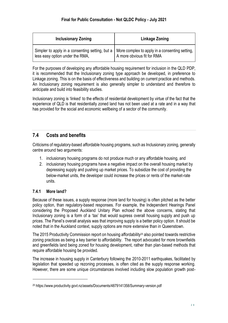| <b>Inclusionary Zoning</b>                                                                                                          | Linkage Zoning             |  |
|-------------------------------------------------------------------------------------------------------------------------------------|----------------------------|--|
| Simpler to apply in a consenting setting, but a   More complex to apply in a consenting setting,<br>less easy option under the RMA, | A more obvious fit for RMA |  |

For the purposes of developing any affordable housing requirement for inclusion in the QLD PDP, it is recommended that the Inclusionary zoning type approach be developed, in preference to Linkage zoning. This is on the basis of effectiveness and building on current practice and methods. An Inclusionary zoning requirement is also generally simpler to understand and therefore to anticipate and build into feasibility studies.

Inclusionary zoning is 'linked' to the effects of residential development by virtue of the fact that the experience of QLD is that residentially zoned land has not been used at a rate and in a way that has provided for the social and economic wellbeing of a sector of the community.

#### <span id="page-31-0"></span>**7.4 Costs and benefits**

Criticisms of regulatory-based affordable housing programs, such as Inclusionary zoning, generally centre around two arguments:

- 1. inclusionary housing programs do not produce much or any affordable housing, and
- 2. inclusionary housing programs have a negative impact on the overall housing market by depressing supply and pushing up market prices. To subsidize the cost of providing the below-market units, the developer could increase the prices or rents of the market-rate units.

#### <span id="page-31-1"></span>**7.4.1 More land?**

Because of these issues, a supply response (more land for housing) is often pitched as the better policy option, than regulatory-based responses. For example, the Independent Hearings Panel considering the Proposed Auckland Unitary Plan echoed the above concerns, stating that Inclusionary zoning is a form of a 'tax' that would supress overall housing supply and push up prices. The Panel's overall analysis was that improving supply is a better policy option. It should be noted that in the Auckland context, supply options are more extensive than in Queenstown.

The 2015 Productivity Commission report on housing affordability<sup>25</sup> also pointed towards restrictive zoning practices as being a key barrier to affordability. The report advocated for more brownfields and greenfields land being zoned for housing development, rather than plan-based methods that require affordable housing be provided.

The increase in housing supply in Canterbury following the 2010-2011 earthquakes, facilitated by legislation that speeded up rezoning processes, is often cited as the supply response working. However, there are some unique circumstances involved including slow population growth post-

<sup>25</sup> https://www.productivity.govt.nz/assets/Documents/4879141358/Summary-version.pdf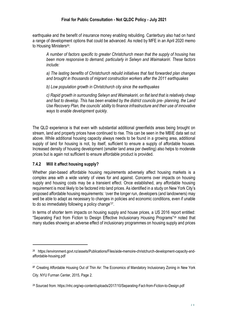earthquake and the benefit of insurance money enabling rebuilding. Canterbury also had on hand a range of development options that could be advanced. As noted by MFE in an April 2020 memo to Housing Ministers<sup>26</sup>:

*A number of factors specific to greater Christchurch mean that the supply of housing has been more responsive to demand, particularly in Selwyn and Waimakariri. These factors include:* 

*a) The lasting benefits of Christchurch rebuild initiatives that fast forwarded plan changes and brought in thousands of migrant construction workers after the 2011 earthquakes* 

*b) Low population growth in Christchurch city since the earthquakes* 

*c) Rapid growth in surrounding Selwyn and Waimakariri, on flat land that is relatively cheap and fast to develop. This has been enabled by the district councils pre- planning, the Land Use Recovery Plan, the councils' ability to finance infrastructure and their use of innovative ways to enable development quickly.*

The QLD experience is that even with substantial additional greenfields areas being brought on stream, land and property prices have continued to rise. This can be seen in the MBIE data set out above. While additional housing capacity always needs to be found in a growing area, additional supply of land for housing is not, by itself, sufficient to ensure a supply of affordable houses. Increased density of housing development (smaller land area per dwelling) also helps to moderate prices but is again not sufficient to ensure affordable product is provided.

#### <span id="page-32-0"></span>**7.4.2 Will it affect housing supply?**

Whether plan-based affordable housing requirements adversely affect housing markets is a complex area with a wide variety of views for and against. Concerns over impacts on housing supply and housing costs may be a transient effect. Once established, any affordable housing requirement is most likely to be factored into land prices. As identified in a study on New York City's proposed affordable housing requirements: 'over the longer run, developers (and landowners) may well be able to adapt as necessary to changes in policies and economic conditions, even if unable to do so immediately following a policy change'<sup>27</sup>.

In terms of shorter term impacts on housing supply and house prices, a US 2016 report entitled: "Separating Fact from Fiction to Design Effective Inclusionary Housing Programs"<sup>28</sup> noted that many studies showing an adverse effect of inclusionary programmes on housing supply and prices

<sup>26</sup> https://environment.govt.nz/assets/Publications/Files/aide-memoire-christchurch-development-capacity-andaffordable-housing.pdf

**<sup>27</sup>** Creating Affordable Housing Out of Thin Air: The Economics of Mandatory Inclusionary Zoning in New York

City. NYU Furman Center, 2015, Page 2.

<sup>28</sup> Sourced from: https://nhc.org/wp-content/uploads/2017/10/Separating-Fact-from-Fiction-to-Design.pdf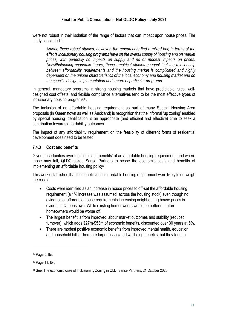were not robust in their isolation of the range of factors that can impact upon house prices. The study concluded<sup>29</sup>:

*Among these robust studies, however, the researchers find a mixed bag in terms of the effects inclusionary housing programs have on the overall supply of housing and on market prices, with generally no impacts on supply and no or modest impacts on prices. Notwithstanding economic theory, these empirical studies suggest that the relationship between affordability requirements and the housing market is complicated and highly dependent on the unique characteristics of the local economy and housing market and on the specific design, implementation and tenure of particular programs.*

In general, mandatory programs in strong housing markets that have predictable rules, welldesigned cost offsets, and flexible compliance alternatives tend to be the most effective types of inclusionary housing programs<sup>30</sup>.

The inclusion of an affordable housing requirement as part of many Special Housing Area proposals (in Queenstown as well as Auckland) is recognition that the informal 'up zoning' enabled by special housing identification is an appropriate (and efficient and effective) time to seek a contribution towards affordability outcomes.

The impact of any affordability requirement on the feasibility of different forms of residential development does need to be tested.

#### <span id="page-33-0"></span>**7.4.3 Cost and benefits**

Given uncertainties over the 'costs and benefits' of an affordable housing requirement, and where those may fall, QLDC asked Sense Partners to scope the economic costs and benefits of implementing an affordable housing policy<sup>31</sup>.

This work established that the benefits of an affordable housing requirement were likely to outweigh the costs:

- Costs were identified as an increase in house prices to off-set the affordable housing requirement (a 1% increase was assumed, across the housing stock) even though no evidence of affordable house requirements increasing neighbouring house prices is evident in Queenstown. While existing homeowners would be better off future homeowners would be worse off.
- The largest benefit is from improved labour market outcomes and stability (reduced turnover), which adds \$27m-\$53m of economic benefits, discounted over 30 years at 6%.
- There are modest positive economic benefits from improved mental health, education and household bills. There are larger associated wellbeing benefits, but they tend to

<sup>29</sup> Page 5, Ibid

<sup>30</sup> Page 11, Ibid

<sup>31</sup> See: The economic case of Inclusionary Zoning in QLD. Sense Partners, 21 October 2020.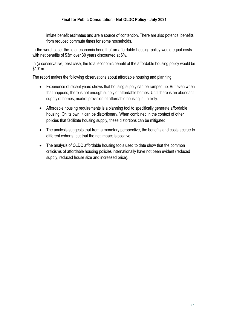inflate benefit estimates and are a source of contention. There are also potential benefits from reduced commute times for some households.

In the worst case, the total economic benefit of an affordable housing policy would equal costs – with net benefits of \$3m over 30 years discounted at 6%.

In (a conservative) best case, the total economic benefit of the affordable housing policy would be \$101m.

The report makes the following observations about affordable housing and planning:

- Experience of recent years shows that housing supply can be ramped up. But even when that happens, there is not enough supply of affordable homes. Until there is an abundant supply of homes, market provision of affordable housing is unlikely.
- Affordable housing requirements is a planning tool to specifically generate affordable housing. On its own, it can be distortionary. When combined in the context of other policies that facilitate housing supply, these distortions can be mitigated.
- The analysis suggests that from a monetary perspective, the benefits and costs accrue to different cohorts, but that the net impact is positive.
- The analysis of QLDC affordable housing tools used to date show that the common criticisms of affordable housing policies internationally have not been evident (reduced supply, reduced house size and increased price).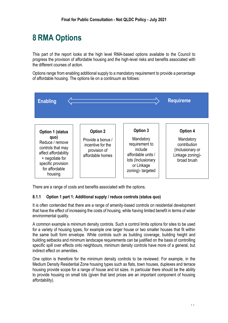# <span id="page-35-0"></span>**8 RMA Options**

This part of the report looks at the high level RMA-based options available to the Council to progress the provision of affordable housing and the high-level risks and benefits associated with the different courses of action.

Options range from enabling additional supply to a mandatory requirement to provide a percentage of affordable housing. The options lie on a continuum as follows:



There are a range of costs and benefits associated with the options.

#### <span id="page-35-1"></span>**8.1.1 Option 1 part 1: Additional supply / reduce controls (status quo)**

It is often contended that there are a range of amenity-based controls on residential development that have the effect of increasing the costs of housing, while having limited benefit in terms of wider environmental quality.

A common example is minimum density controls. Such a control limits options for sites to be used for a variety of housing types, for example one larger house or two smaller houses that fit within the same built form envelope. While controls such as building coverage, building height and building setbacks and minimum landscape requirements can be justified on the basis of controlling specific spill over effects onto neighbours, minimum density controls have more of a general, but indirect effect on amenities.

One option is therefore for the minimum density controls to be reviewed. For example, in the Medium Density Residential Zone housing types such as flats, town houses, duplexes and terrace housing provide scope for a range of house and lot sizes. In particular there should be the ability to provide housing on small lots (given that land prices are an important component of housing affordability).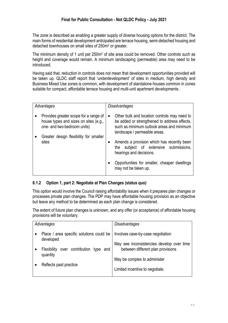The zone is described as enabling a greater supply of diverse housing options for the district. The main forms of residential development anticipated are terrace housing, semi-detached housing and detached townhouses on small sites of 250m<sup>2</sup> or greater.

The minimum density of 1 unit per 250m<sup>2</sup> of site area could be removed. Other controls such as height and coverage would remain. A minimum landscaping (permeable) area may need to be introduced.

Having said that, reduction in controls does not mean that development opportunities provided will be taken up. QLDC staff report that 'underdevelopment' of sites in medium, high density and Business Mixed Use zones is common, with development of standalone houses common in zones suitable for compact, affordable terrace housing and multi-unit apartment developments.

| Advantages                                                                                                                                              | Disadvantages                               |                                                                                                                                           |  |
|---------------------------------------------------------------------------------------------------------------------------------------------------------|---------------------------------------------|-------------------------------------------------------------------------------------------------------------------------------------------|--|
| Provides greater scope for a range of<br>house types and sizes on sites (e.g.,<br>one- and two-bedroom units)<br>Greater design flexibility for smaller | $\bullet$<br>landscape / permeable areas.   | Other bulk and location controls may need to<br>be added or strengthened to address effects,<br>such as minimum outlook areas and minimum |  |
| sites                                                                                                                                                   | $\bullet$<br>the<br>hearings and decisions. | Amends a provision which has recently been<br>subject of extensive submissions,                                                           |  |
|                                                                                                                                                         | ٠<br>may not be taken up.                   | Opportunities for smaller, cheaper dwellings                                                                                              |  |

#### <span id="page-36-0"></span>**8.1.2 Option 1, part 2: Negotiate at Plan Changes (status quo)**

This option would involve the Council raising affordability issues when it prepares plan changes or processes private plan changes. The PDP may have affordable housing provision as an objective but leave any method to be determined as each plan change is considered.

The extent of future plan changes is unknown, and any offer (or acceptance) of affordable housing provisions will be voluntary.

| Advantages                                                                                                                                         | Disadvantages                                                                                                                                                                          |
|----------------------------------------------------------------------------------------------------------------------------------------------------|----------------------------------------------------------------------------------------------------------------------------------------------------------------------------------------|
| Place / area specific solutions could be<br>developed<br>over contribution<br><b>Flexibility</b><br>type and<br>quantity<br>Reflects past practice | Involves case-by-case negotiation<br>May see inconsistencies develop over time<br>between different plan provisions<br>May be complex to administer<br>Limited incentive to negotiate. |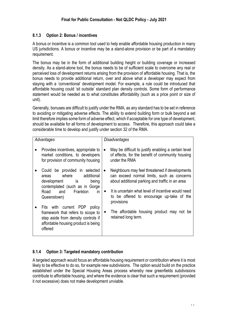#### <span id="page-37-0"></span>**8.1.3 Option 2: Bonus / incentives**

A bonus or incentive is a common tool used to help enable affordable housing production in many US jurisdictions. A bonus or incentive may be a stand-alone provision or be part of a mandatory requirement.

The bonus may be in the form of additional building height or building coverage or increased density. As a stand-alone tool, the bonus needs to be of sufficient scale to overcome any real or perceived loss of development returns arising from the provision of affordable housing. That is, the bonus needs to provide additional return, over and above what a developer may expect from staying with a 'conventional' development model. For example, a rule could be introduced that affordable housing could 'sit outside' standard plan density controls. Some form of performance statement would be needed as to what constitutes affordability (such as a price point or size of unit).

Generally, bonuses are difficult to justify under the RMA, as any standard has to be set in reference to avoiding or mitigating adverse effects. The ability to extend building form or bulk beyond a set limit therefore implies some form of adverse effect, which if acceptable for one type of development, should be available for all forms of development to access. Therefore, this approach could take a considerable time to develop and justify under section 32 of the RMA.

| Advantages                                                                                                                                                    | Disadvantages          |                                                                                                                                                                                                       |
|---------------------------------------------------------------------------------------------------------------------------------------------------------------|------------------------|-------------------------------------------------------------------------------------------------------------------------------------------------------------------------------------------------------|
| Provides incentives, appropriate to<br>market conditions, to developers<br>for provision of community housing                                                 | ٠                      | May be difficult to justify enabling a certain level<br>of effects, for the benefit of community housing<br>under the RMA                                                                             |
| Could be provided in selected<br>where<br>additional<br>areas<br>development is<br>being<br>contemplated (such as in Gorge<br>in<br>Frankton<br>Road<br>and   | $\bullet$<br>$\bullet$ | Neighbours may feel threatened if developments<br>can exceed normal limits, such as concerns<br>about additional parking and traffic in an area<br>It is uncertain what level of incentive would need |
| Queenstown)                                                                                                                                                   |                        | to be offered to encourage up-take of the<br>provisions                                                                                                                                               |
| Fits with current PDP<br>policy<br>framework that refers to scope to<br>step aside from density controls if<br>affordable housing product is being<br>offered | ٠                      | The affordable housing product may not be<br>retained long term.                                                                                                                                      |

#### <span id="page-37-1"></span>**8.1.4 Option 3: Targeted mandatory contribution**

A targeted approach would focus an affordable housing requirement or contribution where it is most likely to be effective to do so, for example new subdivisions. The option would build on the practice established under the Special Housing Areas process whereby new greenfields subdivisions contribute to affordable housing, and where the evidence is clear that such a requirement (provided it not excessive) does not make development unviable.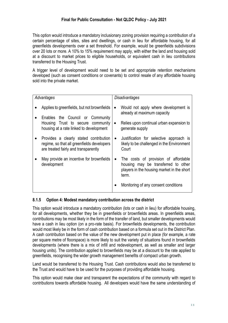This option would introduce a mandatory inclusionary zoning provision requiring a contribution of a certain percentage of sites, sites and dwellings, or cash in lieu for affordable housing, for all greenfields developments over a set threshold. For example, would be greenfields subdivisions over 20 lots or more. A 10% to 15% requirement may apply, with either the land and housing sold at a discount to market prices to eligible households, or equivalent cash in lieu contributions transferred to the Housing Trust.

A trigger level of development would need to be set and appropriate retention mechanisms developed (such as consent conditions or covenants) to control resale of any affordable housing sold into the private market.

| Advantages                                                                                                                   | Disadvantages                                                                                                                                   |  |
|------------------------------------------------------------------------------------------------------------------------------|-------------------------------------------------------------------------------------------------------------------------------------------------|--|
| Applies to greenfields, but not brownfields<br>Enables the Council or Community<br>Housing Trust to secure community         | Would not apply where development is<br>already at maximum capacity<br>Relies upon continual urban expansion to<br>$\bullet$                    |  |
| housing at a rate linked to development                                                                                      | generate supply                                                                                                                                 |  |
| Provides a clearly stated contribution<br>regime, so that all greenfields developers<br>are treated fairly and transparently | Justification for selective approach is<br>likely to be challenged in the Environment<br>Court                                                  |  |
| May provide an incentive for brownfields<br>development                                                                      | The costs of provision of affordable<br>$\bullet$<br>housing may be transferred to other<br>players in the housing market in the short<br>term. |  |
|                                                                                                                              | Monitoring of any consent conditions                                                                                                            |  |

#### <span id="page-38-0"></span>**8.1.5 Option 4: Modest mandatory contribution across the district**

This option would introduce a mandatory contribution (lots or cash in lieu) for affordable housing, for all developments, whether they be in greenfields or brownfields areas. In greenfields areas, contributions may be most likely in the form of the transfer of land, but smaller developments would have a cash in lieu option (on a pro-rate basis). For brownfields developments, the contribution would most likely be in the form of cash contribution based on a formula set out in the District Plan. A cash contribution based on the value of the new development put in place (for example, a rate per square metre of floorspace) is more likely to suit the variety of situations found in brownfields developments (where there is a mix of infill and redevelopment, as well as smaller and larger housing units). The contribution applied to brownfields may be at a discount to the rate applied to greenfields, recognising the wider growth management benefits of compact urban growth.

Land would be transferred to the Housing Trust. Cash contributions would also be transferred to the Trust and would have to be used for the purposes of providing affordable housing.

This option would make clear and transparent the expectations of the community with regard to contributions towards affordable housing. All developers would have the same understanding of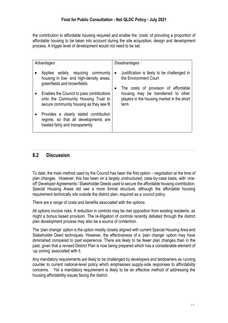the contribution to affordable housing required and enable the 'costs' of providing a proportion of affordable housing to be taken into account during the site acquisition, design and development process. A trigger level of development would not need to be set.

| Advantages                                                                                                                   |           | Disadvantages                                                                                                                     |
|------------------------------------------------------------------------------------------------------------------------------|-----------|-----------------------------------------------------------------------------------------------------------------------------------|
| Applies widely, requiring community<br>housing in low- and high-density areas,<br>greenfields and brownfields                | $\bullet$ | Justification is likely to be challenged in<br>the Environment Court                                                              |
| Enables the Council to pass contributions<br>onto the Community Housing Trust to<br>secure community housing as they see fit |           | The costs of provision of affordable<br>housing may be transferred to other<br>players in the housing market in the short<br>term |
| Provides a clearly stated contribution<br>regime, so that all developments are<br>treated fairly and transparently           |           |                                                                                                                                   |

#### <span id="page-39-0"></span>**8.2 Discussion**

To date, the main method used by the Council has been the first option – negotiation at the time of plan changes. However, this has been on a largely unstructured, case-by-case basis, with 'oneoff' Developer Agreements / Stakeholder Deeds used to secure the affordable housing contribution. Special Housing Areas did see a more formal structure, although the affordable housing requirement technically sits outside the district plan, required as a council policy.

There are a range of costs and benefits associated with the options

All options involve risks: A reduction in controls may be met opposition from existing residents, as might a bonus based provision. The re-litigation of controls recently debated through the district plan development process may also be a source of contention.

The 'plan change' option is the option mostly closely aligned with current Special Housing Area and Stakeholder Deed techniques. However, the effectiveness of a 'plan change' option may have diminished compared to past experience. There are likely to be fewer plan changes than in the past, given that a revised District Plan is now being prepared which has a considerable element of 'up zoning' associated with it.

Any mandatory requirements are likely to be challenged by developers and landowners as running counter to current national-level policy which emphasises supply-side responses to affordability concerns. Yet a mandatory requirement is likely to be an effective method of addressing the housing affordability issues facing the district.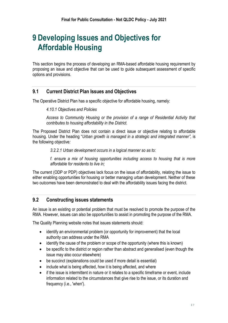### <span id="page-40-0"></span>**9 Developing Issues and Objectives for Affordable Housing**

This section begins the process of developing an RMA-based affordable housing requirement by proposing an issue and objective that can be used to guide subsequent assessment of specific options and provisions.

#### <span id="page-40-1"></span>**9.1 Current District Plan Issues and Objectives**

The Operative District Plan has a specific objective for affordable housing, namely:

#### *4.10.1 Objectives and Policies*

*Access to Community Housing or the provision of a range of Residential Activity that contributes to housing affordability in the District.* 

The Proposed District Plan does not contain a direct issue or objective relating to affordable housing. Under the heading "*Urban growth is managed in a strategic and integrated manner",* is the following objective*:*

*3.2.2.1 Urban development occurs in a logical manner so as to:* 

*f. ensure a mix of housing opportunities including access to housing that is more affordable for residents to live in;* 

The current (ODP or PDP) objectives lack focus on the issue of affordability, relating the issue to either enabling opportunities for housing or better managing urban development. Neither of these two outcomes have been demonstrated to deal with the affordability issues facing the district.

#### <span id="page-40-2"></span>**9.2 Constructing issues statements**

An issue is an existing or potential problem that must be resolved to promote the purpose of the RMA. However, issues can also be opportunities to assist in promoting the purpose of the RMA.

The Quality Planning website notes that issues statements should:

- identify an environmental problem (or opportunity for improvement) that the local authority can address under the RMA
- identify the cause of the problem or scope of the opportunity (where this is known)
- be specific to the district or region rather than abstract and generalised (even though the issue may also occur elsewhere)
- be succinct (explanations could be used if more detail is essential)
- include what is being affected, how it is being affected, and where
- if the issue is intermittent in nature or it relates to a specific timeframe or event, include information related to the circumstances that give rise to the issue, or its duration and frequency (i.e., 'when').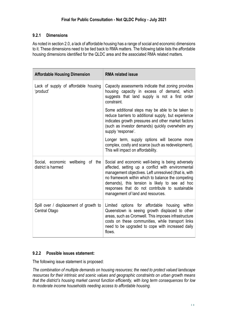#### <span id="page-41-0"></span>**9.2.1 Dimensions**

As noted in section 2.0, a lack of affordable housing has a range of social and economic dimensions to it. These dimensions need to be tied back to RMA matters. The following table lists the affordable housing dimensions identified for the QLDC area and the associated RMA related matters.

| <b>Affordable Housing Dimension</b>                     | <b>RMA related issue</b>                                                                                                                                                                                                                                                                                                                                         |  |  |
|---------------------------------------------------------|------------------------------------------------------------------------------------------------------------------------------------------------------------------------------------------------------------------------------------------------------------------------------------------------------------------------------------------------------------------|--|--|
| Lack of supply of affordable housing<br>'product'       | Capacity assessments indicate that zoning provides<br>housing capacity in excess of demand, which<br>suggests that land supply is not a first order<br>constraint.                                                                                                                                                                                               |  |  |
|                                                         | Some additional steps may be able to be taken to<br>reduce barriers to additional supply, but experience<br>indicates growth pressures and other market factors<br>(such as investor demands) quickly overwhelm any<br>supply 'response'.                                                                                                                        |  |  |
|                                                         | Longer term, supply options will become more<br>complex, costly and scarce (such as redevelopment).<br>This will impact on affordability.                                                                                                                                                                                                                        |  |  |
| Social, economic wellbeing of the<br>district is harmed | Social and economic well-being is being adversely<br>affected, setting up a conflict with environmental<br>management objectives. Left unresolved (that is, with<br>no framework within which to balance the competing<br>demands), this tension is likely to see ad hoc<br>responses that do not contribute to sustainable<br>management of land and resources. |  |  |
| Spill over / displacement of growth to<br>Central Otago | Limited options for affordable housing within<br>Queenstown is seeing growth displaced to other<br>areas, such as Cromwell. This imposes infrastructure<br>costs on these communities, while transport links<br>need to be upgraded to cope with increased daily<br>flows.                                                                                       |  |  |

#### <span id="page-41-1"></span>**9.2.2 Possible issues statement:**

The following issue statement is proposed:

*The combination of multiple demands on housing resources; the need to protect valued landscape resources for their intrinsic and scenic values and geographic constraints on urban growth means that the district's housing market cannot function efficiently, with long term consequences for low to moderate income households needing access to affordable housing.*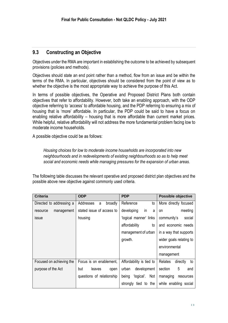#### <span id="page-42-0"></span>**9.3 Constructing an Objective**

Objectives under the RMA are important in establishing the outcome to be achieved by subsequent provisions (policies and methods).

Objectives should state an end point rather than a method, flow from an issue and be within the terms of the RMA. In particular, objectives should be considered from the point of view as to whether the objective is the most appropriate way to achieve the purpose of this Act.

In terms of possible objectives, the Operative and Proposed District Plans both contain objectives that refer to affordability. However, both take an enabling approach, with the ODP objective referring to 'access' to affordable housing, and the PDP referring to ensuring a mix of housing that is 'more' affordable. In particular, the PDP could be said to have a focus on enabling relative affordability – housing that is more affordable than current market prices. While helpful, relative affordability will not address the more fundamental problem facing low to moderate income households.

A possible objective could be as follows:

*Housing choices for low to moderate income households are incorporated into new neighbourhoods and in redevelopments of existing neighbourhoods so as to help meet social and economic needs while managing pressures for the expansion of urban areas.* 

The following table discusses the relevant operative and proposed district plan objectives and the possible above new objective against commonly used criteria.

| <b>Criteria</b>          | <b>ODP</b>                | <b>PDP</b>                 | Possible objective        |
|--------------------------|---------------------------|----------------------------|---------------------------|
| Directed to addressing a | Addresses<br>broadly<br>a | Reference<br>to            | More directly focused     |
| management<br>resource   | stated issue of access to | developing<br>in<br>a      | meeting<br>on             |
| issue                    | housing                   | 'logical manner' links     | community's<br>social     |
|                          |                           | affordability<br>to        | and economic needs        |
|                          |                           | management of urban        | in a way that supports    |
|                          |                           | growth.                    | wider goals relating to   |
|                          |                           |                            | environmental             |
|                          |                           |                            | management                |
| Focused on achieving the | Focus is on enablement,   | Affordability is tied to   | Relates<br>directly<br>to |
| purpose of the Act       | but<br>leaves<br>open     | urban<br>development       | 5<br>section<br>and       |
|                          | questions of relationship | Not<br>being<br>'logical'. | managing<br>resources     |
|                          |                           | tied to the<br>strongly    | while enabling social     |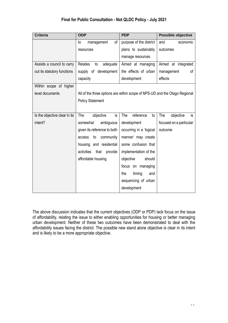| <b>Criteria</b>               | <b>ODP</b>                                                                 | <b>PDP</b>              | <b>Possible objective</b> |
|-------------------------------|----------------------------------------------------------------------------|-------------------------|---------------------------|
|                               | of<br>to<br>management                                                     | purpose of the district | and<br>economic           |
|                               | resources                                                                  | plans to sustainably    | outcomes                  |
|                               |                                                                            | manage resources        |                           |
| Assists a council to carry    | Relates<br>adequate<br>to                                                  | Aimed at managing       | Aimed at integrated       |
| out its statutory functions   | supply of development                                                      | the effects of urban    | οf<br>management          |
|                               | capacity                                                                   | development             | effects                   |
| Within scope of higher        |                                                                            |                         |                           |
| level documents               | All of the three options are within scope of NPS-UD and the Otago Regional |                         |                           |
|                               | <b>Policy Statement</b>                                                    |                         |                           |
|                               |                                                                            |                         |                           |
| Is the objective clear in its | is<br>The<br>objective                                                     | The<br>reference<br>to  | The<br>objective<br>is    |
| intent?                       | ambiguous<br>somewhat                                                      | development             | focused on a particular   |
|                               | given its reference to both                                                | occurring in a 'logical | outcome                   |
|                               | to<br>community<br>access                                                  | manner' may create      |                           |
|                               | housing and residential                                                    | some confusion that     |                           |
|                               | activities<br>that<br>provide                                              | implementation of the   |                           |
|                               | affordable housing                                                         | objective<br>should     |                           |
|                               |                                                                            | focus on managing       |                           |
|                               |                                                                            | timing<br>the<br>and    |                           |
|                               |                                                                            | sequencing of urban     |                           |
|                               |                                                                            | development             |                           |
|                               |                                                                            |                         |                           |

The above discussion indicates that the current objectives (ODP or PDP) lack focus on the issue of affordability, relating the issue to either enabling opportunities for housing or better managing urban development. Neither of these two outcomes have been demonstrated to deal with the affordability issues facing the district. The possible new stand alone objective is clear in its intent and is likely to be a more appropriate objective.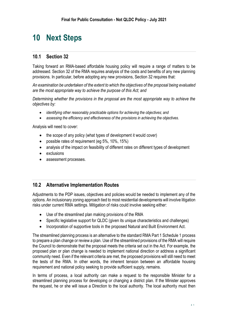### <span id="page-44-0"></span>**10 Next Steps**

#### <span id="page-44-1"></span>**10.1 Section 32**

Taking forward an RMA-based affordable housing policy will require a range of matters to be addressed. Section 32 of the RMA requires analysis of the costs and benefits of any new planning provisions. In particular, before adopting any new provisions, Section 32 requires that:

*An examination be undertaken of the extent to which the objectives of the proposal being evaluated are the most appropriate way to achieve the purpose of this Act; and*

*Determining whether the provisions in the proposal are the most appropriate way to achieve the objectives by:* 

- *identifying other reasonably practicable options for achieving the objectives; and*
- *assessing the efficiency and effectiveness of the provisions in achieving the objectives.*

Analysis will need to cover:

- the scope of any policy (what types of development it would cover)
- possible rates of requirement (eg 5%, 10%, 15%)
- analysis of the impact on feasibility of different rates on different types of development
- exclusions
- assessment processes.

#### <span id="page-44-2"></span>**10.2 Alternative Implementation Routes**

Adjustments to the PDP issues, objectives and policies would be needed to implement any of the options. An inclusionary zoning approach tied to most residential developments will involve litigation risks under current RMA settings. Mitigation of risks could involve seeking either:

- Use of the streamlined plan making provisions of the RMA
- Specific legislative support for QLDC (given its unique characteristics and challenges)
- Incorporation of supportive tools in the proposed Natural and Built Environment Act.

The streamlined planning process is an alternative to the standard RMA Part 1 Schedule 1 process to prepare a plan change or review a plan. Use of the streamlined provisions of the RMA will require the Council to demonstrate that the proposal meets the criteria set out in the Act. For example, the proposed plan or plan change is needed to implement national direction or address a significant community need. Even if the relevant criteria are met, the proposed provisions will still need to meet the tests of the RMA. In other words, the inherent tension between an affordable housing requirement and national policy seeking to provide sufficient supply, remains.

In terms of process, a local authority can make a request to the responsible Minister for a streamlined planning process for developing or changing a district plan. If the Minister approves the request, he or she will issue a Direction to the local authority. The local authority must then